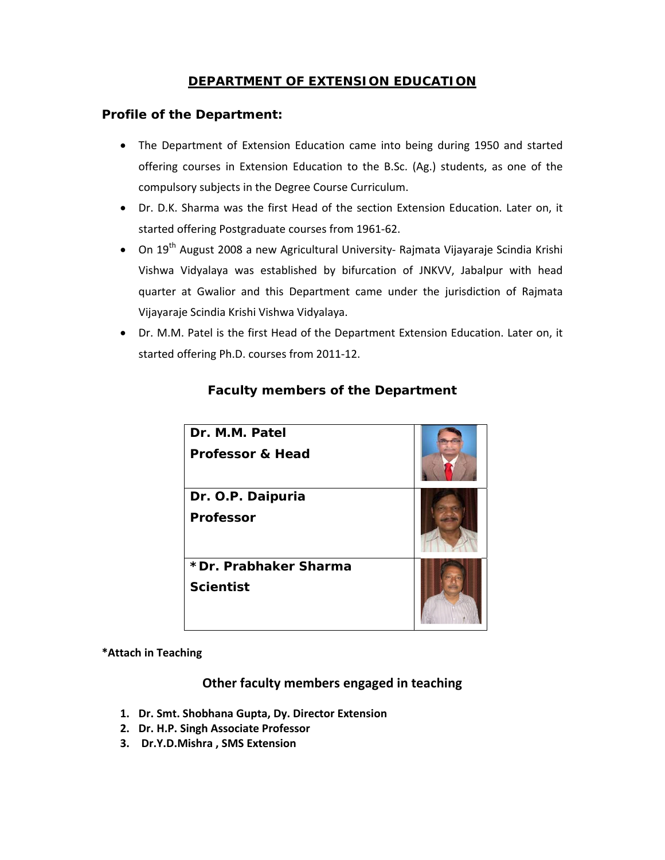# **DEPARTMENT OF EXTENSION EDUCATION**

## **Profile of the Department:**

- The Department of Extension Education came into being during 1950 and started offering courses in Extension Education to the B.Sc. (Ag.) students, as one of the compulsory subjects in the Degree Course Curriculum.
- Dr. D.K. Sharma was the first Head of the section Extension Education. Later on, it started offering Postgraduate courses from 1961‐62.
- On 19<sup>th</sup> August 2008 a new Agricultural University- Rajmata Vijayaraje Scindia Krishi Vishwa Vidyalaya was established by bifurcation of JNKVV, Jabalpur with head quarter at Gwalior and this Department came under the jurisdiction of Rajmata Vijayaraje Scindia Krishi Vishwa Vidyalaya.
- Dr. M.M. Patel is the first Head of the Department Extension Education. Later on, it started offering Ph.D. courses from 2011‐12.

| Dr. M.M. Patel<br><b>Professor &amp; Head</b> |  |
|-----------------------------------------------|--|
| Dr. O.P. Daipuria<br><b>Professor</b>         |  |
| *Dr. Prabhaker Sharma<br><b>Scientist</b>     |  |

# **Faculty members of the Department**

#### **\*Attach in Teaching**

### **Other faculty members engaged in teaching**

- **1. Dr. Smt. Shobhana Gupta, Dy. Director Extension**
- **2. Dr. H.P. Singh Associate Professor**
- **3. Dr.Y.D.Mishra , SMS Extension**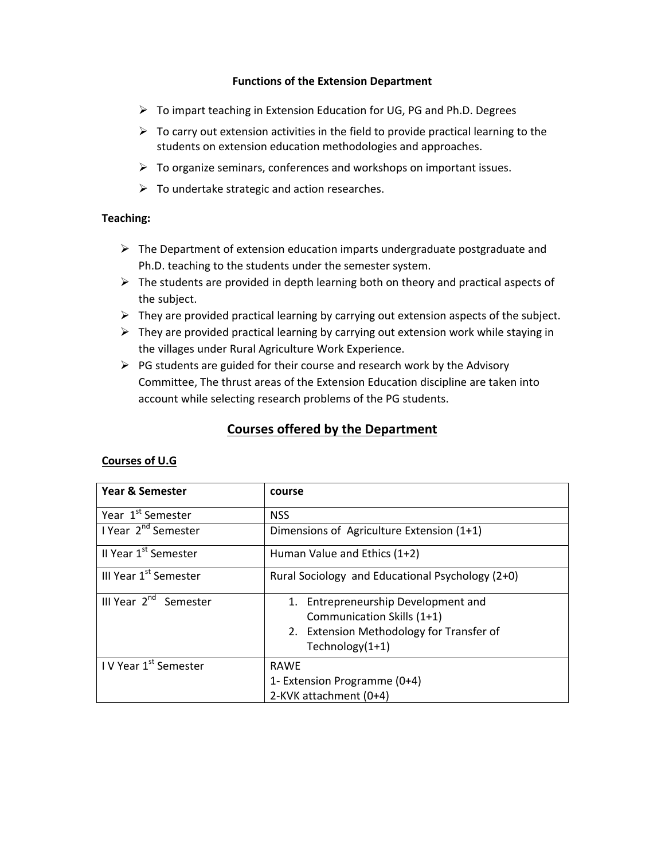#### **Functions of the Extension Department**

- $\triangleright$  To impart teaching in Extension Education for UG, PG and Ph.D. Degrees
- $\triangleright$  To carry out extension activities in the field to provide practical learning to the students on extension education methodologies and approaches.
- $\triangleright$  To organize seminars, conferences and workshops on important issues.
- $\triangleright$  To undertake strategic and action researches.

#### **Teaching:**

- $\triangleright$  The Department of extension education imparts undergraduate postgraduate and Ph.D. teaching to the students under the semester system.
- $\triangleright$  The students are provided in depth learning both on theory and practical aspects of the subject.
- $\triangleright$  They are provided practical learning by carrying out extension aspects of the subject.
- $\triangleright$  They are provided practical learning by carrying out extension work while staying in the villages under Rural Agriculture Work Experience.
- $\triangleright$  PG students are guided for their course and research work by the Advisory Committee, The thrust areas of the Extension Education discipline are taken into account while selecting research problems of the PG students.

# **Courses offered by the Department**

#### **Courses of U.G**

| <b>Year &amp; Semester</b>        | course                                           |
|-----------------------------------|--------------------------------------------------|
| Year 1 <sup>st</sup> Semester     | <b>NSS</b>                                       |
| I Year 2 <sup>nd</sup> Semester   | Dimensions of Agriculture Extension (1+1)        |
| II Year 1 <sup>st</sup> Semester  | Human Value and Ethics (1+2)                     |
| III Year 1 <sup>st</sup> Semester | Rural Sociology and Educational Psychology (2+0) |
| III Year 2 <sup>nd</sup> Semester | 1. Entrepreneurship Development and              |
|                                   | Communication Skills (1+1)                       |
|                                   | 2. Extension Methodology for Transfer of         |
|                                   | Technology $(1+1)$                               |
| IV Year 1 <sup>st</sup> Semester  | <b>RAWE</b>                                      |
|                                   | 1- Extension Programme (0+4)                     |
|                                   | 2-KVK attachment (0+4)                           |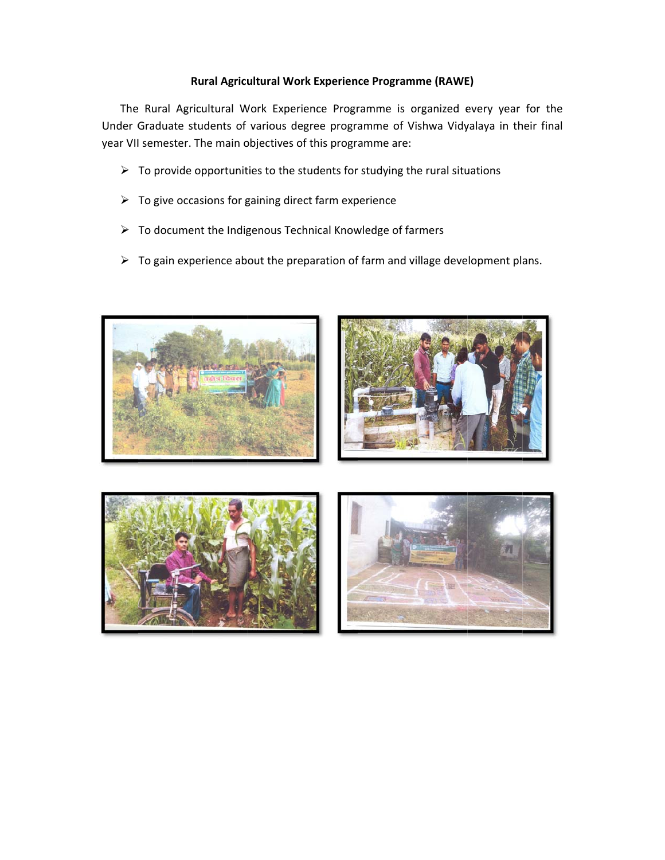#### Rural Agricultural Work Experience Programme (RAWE)

The Rural Agricultural Work Experience Programme is organized every year for the Under Graduate students of various degree programme of Vishwa Vidyalaya in their final year VII semester. The main objectives of this programme are:

- $\triangleright$  To provide opportunities to the students for studying the rural situations
- $\triangleright$  To give occasions for gaining direct farm experience
- > To document the Indigenous Technical Knowledge of farmers
- $\triangleright$  To gain experience about the preparation of farm and village development plans.

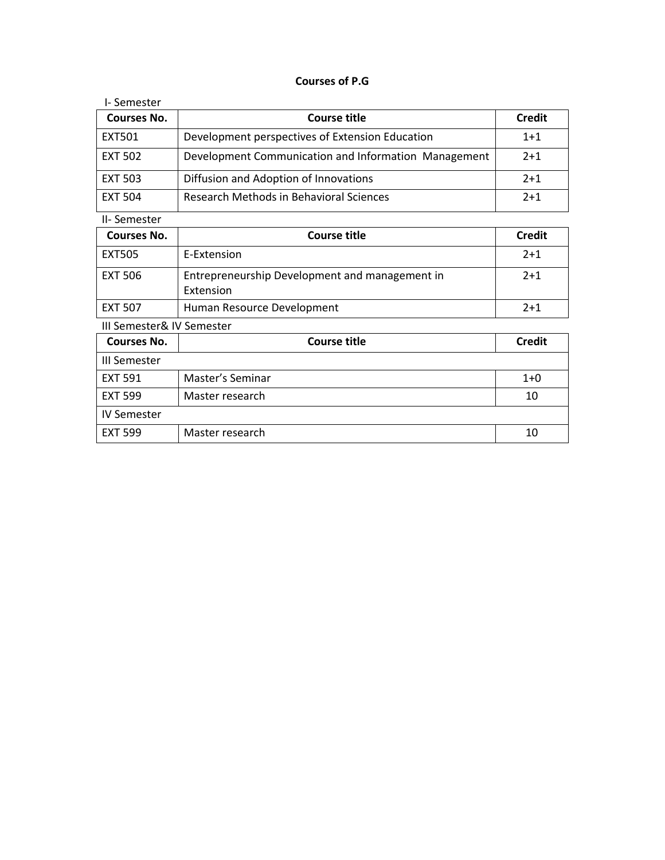#### **Courses of P.G**

| I-Semester         |                                                      |               |
|--------------------|------------------------------------------------------|---------------|
| <b>Courses No.</b> | Course title                                         | <b>Credit</b> |
| <b>EXT501</b>      | Development perspectives of Extension Education      | $1+1$         |
| <b>EXT 502</b>     | Development Communication and Information Management | $2+1$         |
| <b>EXT 503</b>     | Diffusion and Adoption of Innovations                | $2+1$         |
| <b>EXT 504</b>     | Research Methods in Behavioral Sciences              | $2+1$         |

## II‐ Semester

| Courses No.               | Course title                                                | <b>Credit</b> |
|---------------------------|-------------------------------------------------------------|---------------|
| <b>EXT505</b>             | E-Extension                                                 | $2+1$         |
| <b>EXT 506</b>            | Entrepreneurship Development and management in<br>Extension | $2+1$         |
| <b>EXT 507</b>            | Human Resource Development                                  | $2+1$         |
| III Semester& IV Semester |                                                             |               |

| <b>Courses No.</b> | <b>Course title</b> | <b>Credit</b> |
|--------------------|---------------------|---------------|
| III Semester       |                     |               |
| <b>EXT 591</b>     | Master's Seminar    | $1+0$         |
| <b>EXT 599</b>     | Master research     | 10            |
| <b>IV Semester</b> |                     |               |
| <b>EXT 599</b>     | Master research     | 10            |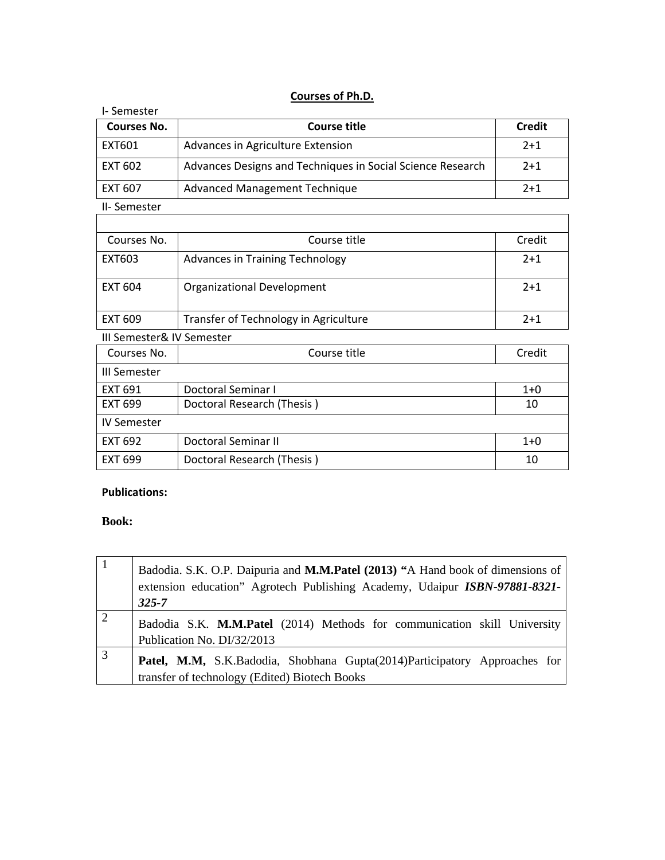## **Courses of Ph.D.**

| Courses No.               | Course title                                               | <b>Credit</b> |
|---------------------------|------------------------------------------------------------|---------------|
| EXT601                    | Advances in Agriculture Extension                          | $2+1$         |
| <b>EXT 602</b>            | Advances Designs and Techniques in Social Science Research | $2+1$         |
| <b>EXT 607</b>            | <b>Advanced Management Technique</b>                       | $2+1$         |
| II-Semester               |                                                            |               |
|                           |                                                            |               |
| Courses No.               | Course title                                               | Credit        |
| EXT603                    | Advances in Training Technology                            | $2+1$         |
| <b>EXT 604</b>            | Organizational Development                                 | $2+1$         |
| <b>EXT 609</b>            | Transfer of Technology in Agriculture                      | $2+1$         |
| III Semester& IV Semester |                                                            |               |
| Courses No.               | Course title                                               | Credit        |
| III Semester              |                                                            |               |
| <b>EXT 691</b>            | Doctoral Seminar I                                         | $1 + 0$       |
| <b>FXT 699</b>            | Doctoral Research (Thesis)                                 | 10            |
| <b>IV Semester</b>        |                                                            |               |
| <b>EXT 692</b>            | <b>Doctoral Seminar II</b>                                 | $1+0$         |
| <b>EXT 699</b>            | Doctoral Research (Thesis)                                 | 10            |
|                           |                                                            |               |

#### **Publications:**

## **Book:**

| $\vert$ 1      | Badodia. S.K. O.P. Daipuria and M.M.Patel (2013) "A Hand book of dimensions of<br>extension education" Agrotech Publishing Academy, Udaipur ISBN-97881-8321-<br>$325 - 7$ |
|----------------|---------------------------------------------------------------------------------------------------------------------------------------------------------------------------|
| $\sqrt{2}$     | Badodia S.K. M.M.Patel (2014) Methods for communication skill University<br>Publication No. DI/32/2013                                                                    |
| $\overline{3}$ | Patel, M.M, S.K.Badodia, Shobhana Gupta(2014)Participatory Approaches for<br>transfer of technology (Edited) Biotech Books                                                |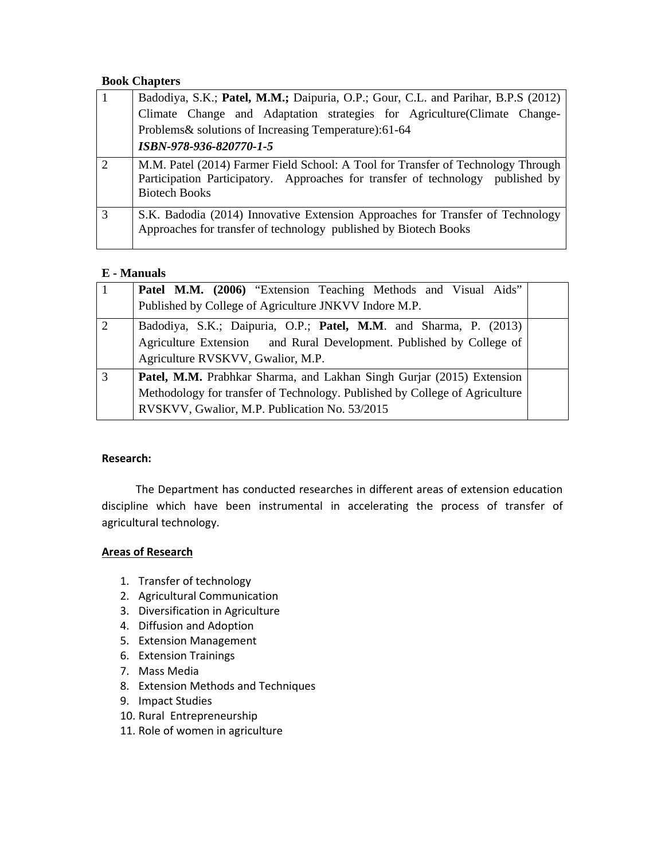#### **Book Chapters**

| $\overline{\Box}$ | Badodiya, S.K.; Patel, M.M.; Daipuria, O.P.; Gour, C.L. and Parihar, B.P.S (2012)                                                                                                           |
|-------------------|---------------------------------------------------------------------------------------------------------------------------------------------------------------------------------------------|
|                   | Climate Change and Adaptation strategies for Agriculture Climate Change-                                                                                                                    |
|                   | Problems& solutions of Increasing Temperature):61-64                                                                                                                                        |
|                   | ISBN-978-936-820770-1-5                                                                                                                                                                     |
| $\mathcal{D}$     | M.M. Patel (2014) Farmer Field School: A Tool for Transfer of Technology Through<br>Participation Participatory. Approaches for transfer of technology published by<br><b>Biotech Books</b> |
| $\overline{3}$    | S.K. Badodia (2014) Innovative Extension Approaches for Transfer of Technology<br>Approaches for transfer of technology published by Biotech Books                                          |

#### **E - Manuals**

| $\vert$ 1      | Patel M.M. (2006) "Extension Teaching Methods and Visual Aids"<br>Published by College of Agriculture JNKVV Indore M.P.                                                                               |  |
|----------------|-------------------------------------------------------------------------------------------------------------------------------------------------------------------------------------------------------|--|
| 2              | Badodiya, S.K.; Daipuria, O.P.; Patel, M.M. and Sharma, P. (2013)<br>Agriculture Extension and Rural Development. Published by College of<br>Agriculture RVSKVV, Gwalior, M.P.                        |  |
| $\overline{3}$ | Patel, M.M. Prabhkar Sharma, and Lakhan Singh Gurjar (2015) Extension<br>Methodology for transfer of Technology. Published by College of Agriculture<br>RVSKVV, Gwalior, M.P. Publication No. 53/2015 |  |

#### **Research:**

 The Department has conducted researches in different areas of extension education discipline which have been instrumental in accelerating the process of transfer of agricultural technology.

#### **Areas of Research**

- 1. Transfer of technology
- 2. Agricultural Communication
- 3. Diversification in Agriculture
- 4. Diffusion and Adoption
- 5. Extension Management
- 6. Extension Trainings
- 7. Mass Media
- 8. Extension Methods and Techniques
- 9. Impact Studies
- 10. Rural Entrepreneurship
- 11. Role of women in agriculture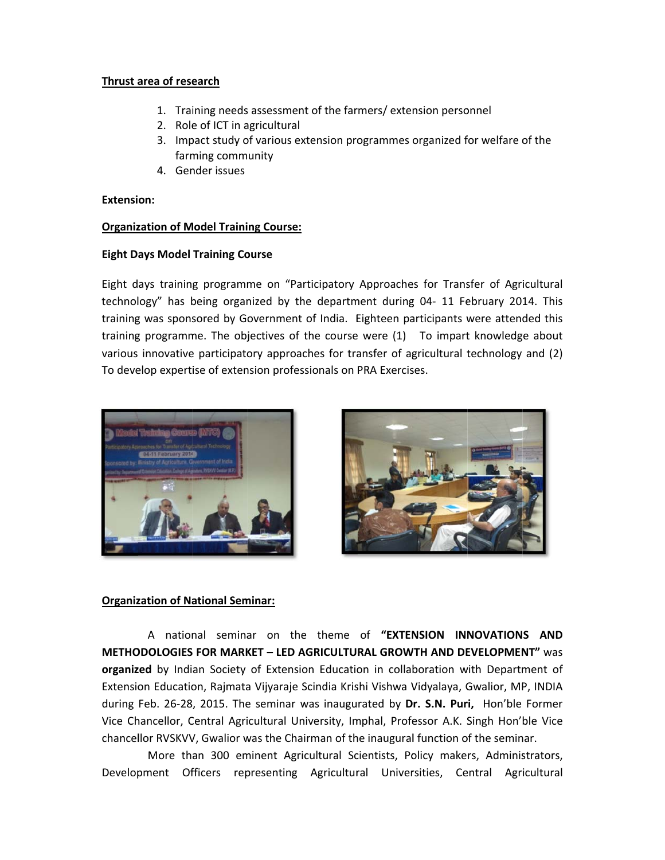#### Thrust area of research

- 1. Training needs assessment of the farmers/ extension personnel
- 2. Role of ICT in agricultural
- 3. Impact study of various extension programmes organized for welfare of the farming community
- 4. Gender issues

### **Extension:**

## **Organization of Model Training Course:**

## **Eight Days Model Training Course**

Eight days training programme on "Participatory Approaches for Transfer of Agricultural technology" has being organized by the department during 04- 11 February 2014. This training was sponsored by Government of India. Eighteen participants were attended this training programme. The objectives of the course were (1) To impart knowledge about various innovative participatory approaches for transfer of agricultural technology and (2) To develop expertise of extension professionals on PRA Exercises.





### **Organization of National Seminar:**

A national seminar on the theme of "EXTENSION INNOVATIONS AND **METHODOLOGIES FOR MARKET - LED AGRICULTURAL GROWTH AND DEVELOPMENT"** was organized by Indian Society of Extension Education in collaboration with Department of Extension Education, Rajmata Vijyaraje Scindia Krishi Vishwa Vidyalaya, Gwalior, MP, INDIA during Feb. 26-28, 2015. The seminar was inaugurated by Dr. S.N. Puri, Hon'ble Former Vice Chancellor, Central Agricultural University, Imphal, Professor A.K. Singh Hon'ble Vice chancellor RVSKVV, Gwalior was the Chairman of the inaugural function of the seminar.

More than 300 eminent Agricultural Scientists, Policy makers, Administrators, Development Officers representing Agricultural Universities, Central Agricultural